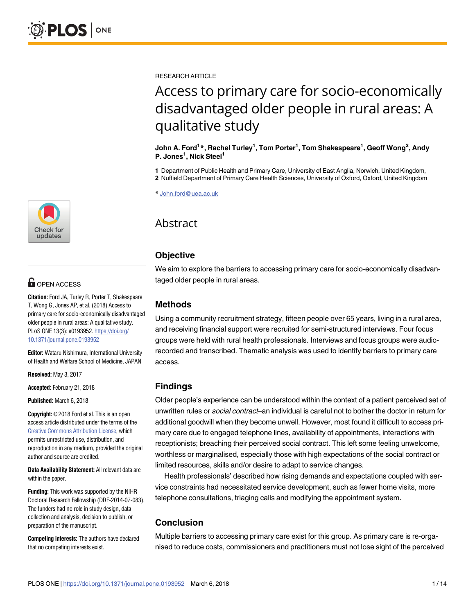RESEARCH ARTICLE

# Access to primary care for socio-economically disadvantaged older people in rural areas: A qualitative study

**John A. Ford1 \*, Rachel Turley1 , Tom Porter1 , Tom Shakespeare1 , Geoff Wong2 , Andy P. Jones1 , Nick Steel1**

**1** Department of Public Health and Primary Care, University of East Anglia, Norwich, United Kingdom, **2** Nuffield Department of Primary Care Health Sciences, University of Oxford, Oxford, United Kingdom

\* John.ford@uea.ac.uk

# Abstract

# **Objective**

We aim to explore the barriers to accessing primary care for socio-economically disadvantaged older people in rural areas.

# **Methods**

Using a community recruitment strategy, fifteen people over 65 years, living in a rural area, and receiving financial support were recruited for semi-structured interviews. Four focus groups were held with rural health professionals. Interviews and focus groups were audiorecorded and transcribed. Thematic analysis was used to identify barriers to primary care access.

### **Findings**

Older people's experience can be understood within the context of a patient perceived set of unwritten rules or social contract–an individual is careful not to bother the doctor in return for additional goodwill when they become unwell. However, most found it difficult to access primary care due to engaged telephone lines, availability of appointments, interactions with receptionists; breaching their perceived social contract. This left some feeling unwelcome, worthless or marginalised, especially those with high expectations of the social contract or limited resources, skills and/or desire to adapt to service changes.

Health professionals' described how rising demands and expectations coupled with service constraints had necessitated service development, such as fewer home visits, more telephone consultations, triaging calls and modifying the appointment system.

# **Conclusion**

Multiple barriers to accessing primary care exist for this group. As primary care is re-organised to reduce costs, commissioners and practitioners must not lose sight of the perceived



# **OPEN ACCESS**

**Citation:** Ford JA, Turley R, Porter T, Shakespeare T, Wong G, Jones AP, et al. (2018) Access to primary care for socio-economically disadvantaged older people in rural areas: A qualitative study. PLoS ONE 13(3): e0193952. [https://doi.org/](https://doi.org/10.1371/journal.pone.0193952) [10.1371/journal.pone.0193952](https://doi.org/10.1371/journal.pone.0193952)

**Editor:** Wataru Nishimura, International University of Health and Welfare School of Medicine, JAPAN

**Received:** May 3, 2017

**Accepted:** February 21, 2018

**Published:** March 6, 2018

**Copyright:** © 2018 Ford et al. This is an open access article distributed under the terms of the Creative Commons [Attribution](http://creativecommons.org/licenses/by/4.0/) License, which permits unrestricted use, distribution, and reproduction in any medium, provided the original author and source are credited.

**Data Availability Statement:** All relevant data are within the paper.

**Funding:** This work was supported by the NIHR Doctoral Research Fellowship (DRF-2014-07-083). The funders had no role in study design, data collection and analysis, decision to publish, or preparation of the manuscript.

**Competing interests:** The authors have declared that no competing interests exist.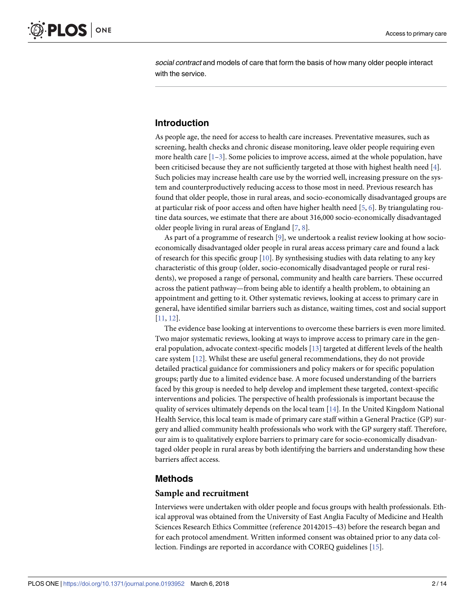<span id="page-1-0"></span>social contract and models of care that form the basis of how many older people interact with the service.

# **Introduction**

As people age, the need for access to health care increases. Preventative measures, such as screening, health checks and chronic disease monitoring, leave older people requiring even more health care  $[1-3]$  $[1-3]$ . Some policies to improve access, aimed at the whole population, have been criticised because they are not sufficiently targeted at those with highest health need [[4](#page-12-0)]. Such policies may increase health care use by the worried well, increasing pressure on the system and counterproductively reducing access to those most in need. Previous research has found that older people, those in rural areas, and socio-economically disadvantaged groups are at particular risk of poor access and often have higher health need [\[5,](#page-12-0) [6\]](#page-12-0). By triangulating routine data sources, we estimate that there are about 316,000 socio-economically disadvantaged older people living in rural areas of England [[7,](#page-12-0) [8\]](#page-12-0).

As part of a programme of research [\[9](#page-12-0)], we undertook a realist review looking at how socioeconomically disadvantaged older people in rural areas access primary care and found a lack of research for this specific group [[10](#page-12-0)]. By synthesising studies with data relating to any key characteristic of this group (older, socio-economically disadvantaged people or rural residents), we proposed a range of personal, community and health care barriers. These occurred across the patient pathway—from being able to identify a health problem, to obtaining an appointment and getting to it. Other systematic reviews, looking at access to primary care in general, have identified similar barriers such as distance, waiting times, cost and social support [\[11,](#page-12-0) [12\]](#page-12-0).

The evidence base looking at interventions to overcome these barriers is even more limited. Two major systematic reviews, looking at ways to improve access to primary care in the general population, advocate context-specific models [[13](#page-12-0)] targeted at different levels of the health care system [\[12\]](#page-12-0). Whilst these are useful general recommendations, they do not provide detailed practical guidance for commissioners and policy makers or for specific population groups; partly due to a limited evidence base. A more focused understanding of the barriers faced by this group is needed to help develop and implement these targeted, context-specific interventions and policies. The perspective of health professionals is important because the quality of services ultimately depends on the local team [\[14\]](#page-12-0). In the United Kingdom National Health Service, this local team is made of primary care staff within a General Practice (GP) surgery and allied community health professionals who work with the GP surgery staff. Therefore, our aim is to qualitatively explore barriers to primary care for socio-economically disadvantaged older people in rural areas by both identifying the barriers and understanding how these barriers affect access.

# **Methods**

### **Sample and recruitment**

Interviews were undertaken with older people and focus groups with health professionals. Ethical approval was obtained from the University of East Anglia Faculty of Medicine and Health Sciences Research Ethics Committee (reference 20142015–43) before the research began and for each protocol amendment. Written informed consent was obtained prior to any data collection. Findings are reported in accordance with COREQ guidelines [[15](#page-12-0)].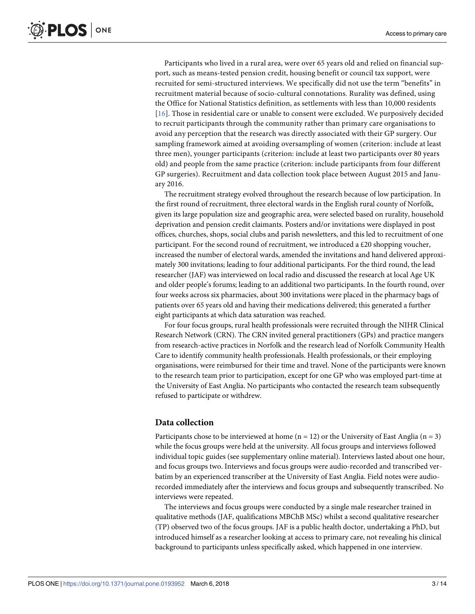<span id="page-2-0"></span>Participants who lived in a rural area, were over 65 years old and relied on financial support, such as means-tested pension credit, housing benefit or council tax support, were recruited for semi-structured interviews. We specifically did not use the term "benefits" in recruitment material because of socio-cultural connotations. Rurality was defined, using the Office for National Statistics definition, as settlements with less than 10,000 residents [[16](#page-12-0)]. Those in residential care or unable to consent were excluded. We purposively decided to recruit participants through the community rather than primary care organisations to avoid any perception that the research was directly associated with their GP surgery. Our sampling framework aimed at avoiding oversampling of women (criterion: include at least three men), younger participants (criterion: include at least two participants over 80 years old) and people from the same practice (criterion: include participants from four different GP surgeries). Recruitment and data collection took place between August 2015 and January 2016.

The recruitment strategy evolved throughout the research because of low participation. In the first round of recruitment, three electoral wards in the English rural county of Norfolk, given its large population size and geographic area, were selected based on rurality, household deprivation and pension credit claimants. Posters and/or invitations were displayed in post offices, churches, shops, social clubs and parish newsletters, and this led to recruitment of one participant. For the second round of recruitment, we introduced a £20 shopping voucher, increased the number of electoral wards, amended the invitations and hand delivered approximately 300 invitations; leading to four additional participants. For the third round, the lead researcher (JAF) was interviewed on local radio and discussed the research at local Age UK and older people's forums; leading to an additional two participants. In the fourth round, over four weeks across six pharmacies, about 300 invitations were placed in the pharmacy bags of patients over 65 years old and having their medications delivered; this generated a further eight participants at which data saturation was reached.

For four focus groups, rural health professionals were recruited through the NIHR Clinical Research Network (CRN). The CRN invited general practitioners (GPs) and practice mangers from research-active practices in Norfolk and the research lead of Norfolk Community Health Care to identify community health professionals. Health professionals, or their employing organisations, were reimbursed for their time and travel. None of the participants were known to the research team prior to participation, except for one GP who was employed part-time at the University of East Anglia. No participants who contacted the research team subsequently refused to participate or withdrew.

### **Data collection**

Participants chose to be interviewed at home ( $n = 12$ ) or the University of East Anglia ( $n = 3$ ) while the focus groups were held at the university. All focus groups and interviews followed individual topic guides (see supplementary online material). Interviews lasted about one hour, and focus groups two. Interviews and focus groups were audio-recorded and transcribed verbatim by an experienced transcriber at the University of East Anglia. Field notes were audiorecorded immediately after the interviews and focus groups and subsequently transcribed. No interviews were repeated.

The interviews and focus groups were conducted by a single male researcher trained in qualitative methods (JAF, qualifications MBChB MSc) whilst a second qualitative researcher (TP) observed two of the focus groups. JAF is a public health doctor, undertaking a PhD, but introduced himself as a researcher looking at access to primary care, not revealing his clinical background to participants unless specifically asked, which happened in one interview.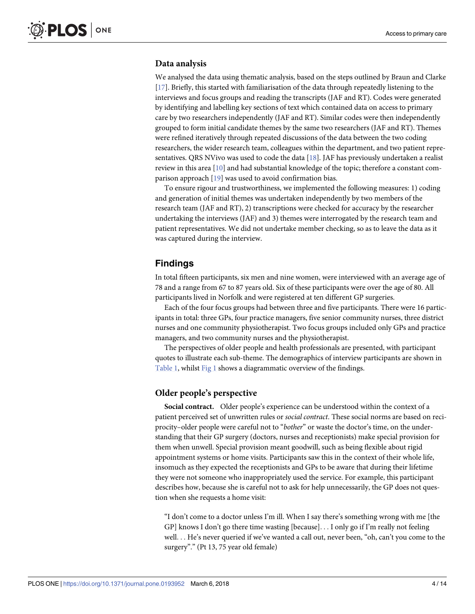### <span id="page-3-0"></span>**Data analysis**

We analysed the data using thematic analysis, based on the steps outlined by Braun and Clarke [\[17\]](#page-12-0). Briefly, this started with familiarisation of the data through repeatedly listening to the interviews and focus groups and reading the transcripts (JAF and RT). Codes were generated by identifying and labelling key sections of text which contained data on access to primary care by two researchers independently (JAF and RT). Similar codes were then independently grouped to form initial candidate themes by the same two researchers (JAF and RT). Themes were refined iteratively through repeated discussions of the data between the two coding researchers, the wider research team, colleagues within the department, and two patient representatives. QRS NVivo was used to code the data [[18](#page-12-0)]. JAF has previously undertaken a realist review in this area [[10](#page-12-0)] and had substantial knowledge of the topic; therefore a constant comparison approach [\[19\]](#page-12-0) was used to avoid confirmation bias.

To ensure rigour and trustworthiness, we implemented the following measures: 1) coding and generation of initial themes was undertaken independently by two members of the research team (JAF and RT), 2) transcriptions were checked for accuracy by the researcher undertaking the interviews (JAF) and 3) themes were interrogated by the research team and patient representatives. We did not undertake member checking, so as to leave the data as it was captured during the interview.

# **Findings**

In total fifteen participants, six men and nine women, were interviewed with an average age of 78 and a range from 67 to 87 years old. Six of these participants were over the age of 80. All participants lived in Norfolk and were registered at ten different GP surgeries.

Each of the four focus groups had between three and five participants. There were 16 participants in total: three GPs, four practice managers, five senior community nurses, three district nurses and one community physiotherapist. Two focus groups included only GPs and practice managers, and two community nurses and the physiotherapist.

The perspectives of older people and health professionals are presented, with participant quotes to illustrate each sub-theme. The demographics of interview participants are shown in [Table](#page-4-0) 1, whilst [Fig](#page-4-0) 1 shows a diagrammatic overview of the findings.

# **Older people's perspective**

**Social contract.** Older people's experience can be understood within the context of a patient perceived set of unwritten rules or *social contract*. These social norms are based on reciprocity–older people were careful not to "*bother*" or waste the doctor's time, on the understanding that their GP surgery (doctors, nurses and receptionists) make special provision for them when unwell. Special provision meant goodwill, such as being flexible about rigid appointment systems or home visits. Participants saw this in the context of their whole life, insomuch as they expected the receptionists and GPs to be aware that during their lifetime they were not someone who inappropriately used the service. For example, this participant describes how, because she is careful not to ask for help unnecessarily, the GP does not question when she requests a home visit:

"I don't come to a doctor unless I'm ill. When I say there's something wrong with me [the GP] knows I don't go there time wasting [because]. . . I only go if I'm really not feeling well. . . He's never queried if we've wanted a call out, never been, "oh, can't you come to the surgery"." (Pt 13, 75 year old female)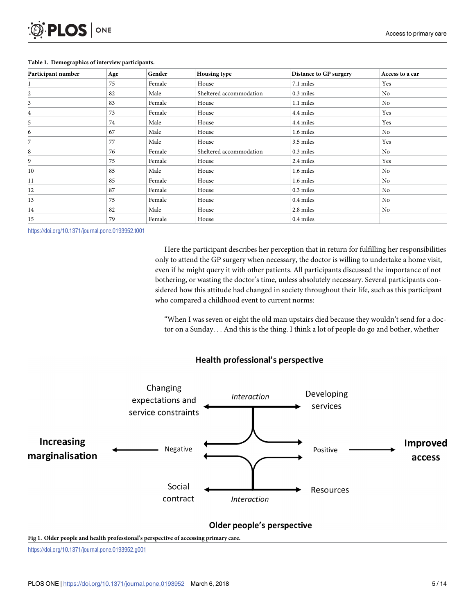| Participant number | Age | Gender | Housing type            | Distance to GP surgery | Access to a car |
|--------------------|-----|--------|-------------------------|------------------------|-----------------|
| 1                  | 75  | Female | House                   | 7.1 miles              | Yes             |
| $\overline{c}$     | 82  | Male   | Sheltered accommodation | 0.3 miles              | No              |
| 3                  | 83  | Female | House                   | 1.1 miles              | No              |
| 4                  | 73  | Female | House                   | 4.4 miles              | Yes             |
| 5                  | 74  | Male   | House                   | 4.4 miles              | Yes             |
| 6                  | 67  | Male   | House                   | 1.6 miles              | No              |
| 7                  | 77  | Male   | House                   | 3.5 miles              | Yes             |
| 8                  | 76  | Female | Sheltered accommodation | 0.3 miles              | No              |
| 9                  | 75  | Female | House                   | 2.4 miles              | Yes             |
| 10                 | 85  | Male   | House                   | 1.6 miles              | No              |
| 11                 | 85  | Female | House                   | 1.6 miles              | No              |
| 12                 | 87  | Female | House                   | 0.3 miles              | No              |
| 13                 | 75  | Female | House                   | 0.4 miles              | No              |
| 14                 | 82  | Male   | House                   | 2.8 miles              | No              |
| 15                 | 79  | Female | House                   | 0.4 miles              |                 |

#### <span id="page-4-0"></span>**[Table](#page-3-0) 1. Demographics of interview participants.**

<https://doi.org/10.1371/journal.pone.0193952.t001>

Here the participant describes her perception that in return for fulfilling her responsibilities only to attend the GP surgery when necessary, the doctor is willing to undertake a home visit, even if he might query it with other patients. All participants discussed the importance of not bothering, or wasting the doctor's time, unless absolutely necessary. Several participants considered how this attitude had changed in society throughout their life, such as this participant who compared a childhood event to current norms:

"When I was seven or eight the old man upstairs died because they wouldn't send for a doctor on a Sunday. . . And this is the thing. I think a lot of people do go and bother, whether

### Health professional's perspective



### Older people's perspective

**[Fig](#page-3-0) 1. Older people and health professional's perspective of accessing primary care.**

<https://doi.org/10.1371/journal.pone.0193952.g001>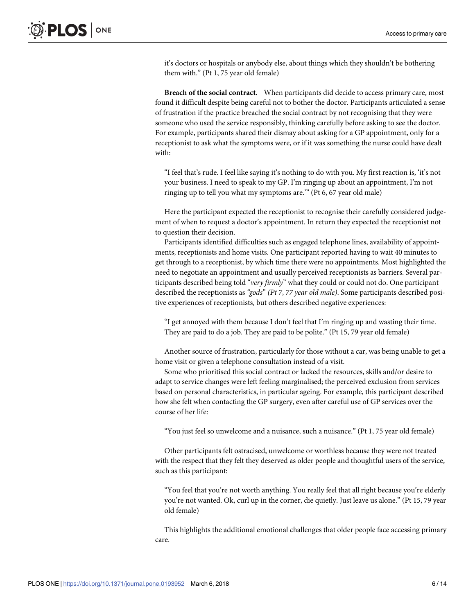it's doctors or hospitals or anybody else, about things which they shouldn't be bothering them with." (Pt 1, 75 year old female)

**Breach of the social contract.** When participants did decide to access primary care, most found it difficult despite being careful not to bother the doctor. Participants articulated a sense of frustration if the practice breached the social contract by not recognising that they were someone who used the service responsibly, thinking carefully before asking to see the doctor. For example, participants shared their dismay about asking for a GP appointment, only for a receptionist to ask what the symptoms were, or if it was something the nurse could have dealt with:

"I feel that's rude. I feel like saying it's nothing to do with you. My first reaction is, 'it's not your business. I need to speak to my GP. I'm ringing up about an appointment, I'm not ringing up to tell you what my symptoms are.'" (Pt 6, 67 year old male)

Here the participant expected the receptionist to recognise their carefully considered judgement of when to request a doctor's appointment. In return they expected the receptionist not to question their decision.

Participants identified difficulties such as engaged telephone lines, availability of appointments, receptionists and home visits. One participant reported having to wait 40 minutes to get through to a receptionist, by which time there were no appointments. Most highlighted the need to negotiate an appointment and usually perceived receptionists as barriers. Several participants described being told "*very firmly*" what they could or could not do. One participant described the receptionists as *"gods" (Pt 7*, *77 year old male)*. Some participants described positive experiences of receptionists, but others described negative experiences:

"I get annoyed with them because I don't feel that I'm ringing up and wasting their time. They are paid to do a job. They are paid to be polite." (Pt 15, 79 year old female)

Another source of frustration, particularly for those without a car, was being unable to get a home visit or given a telephone consultation instead of a visit.

Some who prioritised this social contract or lacked the resources, skills and/or desire to adapt to service changes were left feeling marginalised; the perceived exclusion from services based on personal characteristics, in particular ageing. For example, this participant described how she felt when contacting the GP surgery, even after careful use of GP services over the course of her life:

"You just feel so unwelcome and a nuisance, such a nuisance." (Pt 1, 75 year old female)

Other participants felt ostracised, unwelcome or worthless because they were not treated with the respect that they felt they deserved as older people and thoughtful users of the service, such as this participant:

"You feel that you're not worth anything. You really feel that all right because you're elderly you're not wanted. Ok, curl up in the corner, die quietly. Just leave us alone." (Pt 15, 79 year old female)

This highlights the additional emotional challenges that older people face accessing primary care.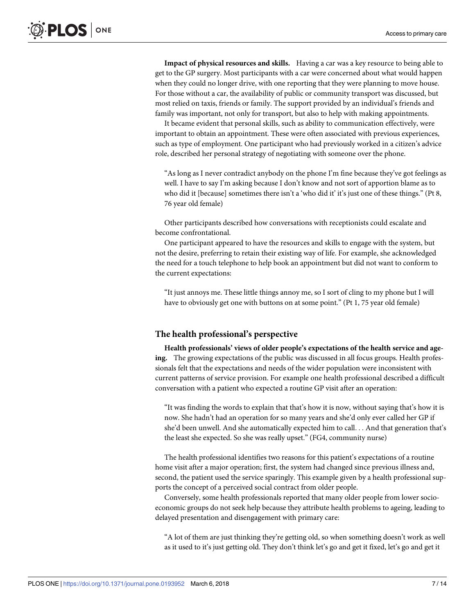**Impact of physical resources and skills.** Having a car was a key resource to being able to get to the GP surgery. Most participants with a car were concerned about what would happen when they could no longer drive, with one reporting that they were planning to move house. For those without a car, the availability of public or community transport was discussed, but most relied on taxis, friends or family. The support provided by an individual's friends and family was important, not only for transport, but also to help with making appointments.

It became evident that personal skills, such as ability to communication effectively, were important to obtain an appointment. These were often associated with previous experiences, such as type of employment. One participant who had previously worked in a citizen's advice role, described her personal strategy of negotiating with someone over the phone.

"As long as I never contradict anybody on the phone I'm fine because they've got feelings as well. I have to say I'm asking because I don't know and not sort of apportion blame as to who did it [because] sometimes there isn't a 'who did it' it's just one of these things." (Pt 8, 76 year old female)

Other participants described how conversations with receptionists could escalate and become confrontational.

One participant appeared to have the resources and skills to engage with the system, but not the desire, preferring to retain their existing way of life. For example, she acknowledged the need for a touch telephone to help book an appointment but did not want to conform to the current expectations:

"It just annoys me. These little things annoy me, so I sort of cling to my phone but I will have to obviously get one with buttons on at some point." (Pt 1, 75 year old female)

### **The health professional's perspective**

**Health professionals' views of older people's expectations of the health service and ageing.** The growing expectations of the public was discussed in all focus groups. Health professionals felt that the expectations and needs of the wider population were inconsistent with current patterns of service provision. For example one health professional described a difficult conversation with a patient who expected a routine GP visit after an operation:

"It was finding the words to explain that that's how it is now, without saying that's how it is now. She hadn't had an operation for so many years and she'd only ever called her GP if she'd been unwell. And she automatically expected him to call. . . And that generation that's the least she expected. So she was really upset." (FG4, community nurse)

The health professional identifies two reasons for this patient's expectations of a routine home visit after a major operation; first, the system had changed since previous illness and, second, the patient used the service sparingly. This example given by a health professional supports the concept of a perceived social contract from older people.

Conversely, some health professionals reported that many older people from lower socioeconomic groups do not seek help because they attribute health problems to ageing, leading to delayed presentation and disengagement with primary care:

"A lot of them are just thinking they're getting old, so when something doesn't work as well as it used to it's just getting old. They don't think let's go and get it fixed, let's go and get it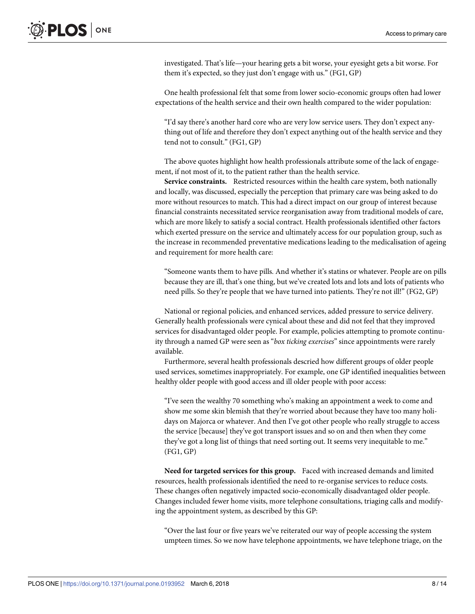investigated. That's life—your hearing gets a bit worse, your eyesight gets a bit worse. For them it's expected, so they just don't engage with us." (FG1, GP)

One health professional felt that some from lower socio-economic groups often had lower expectations of the health service and their own health compared to the wider population:

"I'd say there's another hard core who are very low service users. They don't expect anything out of life and therefore they don't expect anything out of the health service and they tend not to consult." (FG1, GP)

The above quotes highlight how health professionals attribute some of the lack of engagement, if not most of it, to the patient rather than the health service.

**Service constraints.** Restricted resources within the health care system, both nationally and locally, was discussed, especially the perception that primary care was being asked to do more without resources to match. This had a direct impact on our group of interest because financial constraints necessitated service reorganisation away from traditional models of care, which are more likely to satisfy a social contract. Health professionals identified other factors which exerted pressure on the service and ultimately access for our population group, such as the increase in recommended preventative medications leading to the medicalisation of ageing and requirement for more health care:

"Someone wants them to have pills. And whether it's statins or whatever. People are on pills because they are ill, that's one thing, but we've created lots and lots and lots of patients who need pills. So they're people that we have turned into patients. They're not ill!" (FG2, GP)

National or regional policies, and enhanced services, added pressure to service delivery. Generally health professionals were cynical about these and did not feel that they improved services for disadvantaged older people. For example, policies attempting to promote continuity through a named GP were seen as "*box ticking exercises*" since appointments were rarely available.

Furthermore, several health professionals descried how different groups of older people used services, sometimes inappropriately. For example, one GP identified inequalities between healthy older people with good access and ill older people with poor access:

"I've seen the wealthy 70 something who's making an appointment a week to come and show me some skin blemish that they're worried about because they have too many holidays on Majorca or whatever. And then I've got other people who really struggle to access the service [because] they've got transport issues and so on and then when they come they've got a long list of things that need sorting out. It seems very inequitable to me." (FG1, GP)

**Need for targeted services for this group.** Faced with increased demands and limited resources, health professionals identified the need to re-organise services to reduce costs. These changes often negatively impacted socio-economically disadvantaged older people. Changes included fewer home visits, more telephone consultations, triaging calls and modifying the appointment system, as described by this GP:

"Over the last four or five years we've reiterated our way of people accessing the system umpteen times. So we now have telephone appointments, we have telephone triage, on the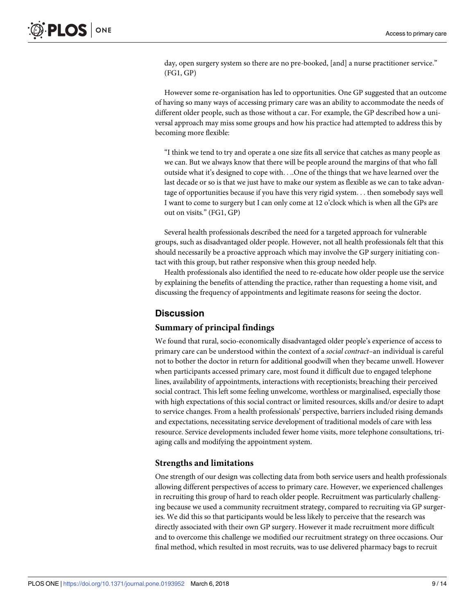day, open surgery system so there are no pre-booked, [and] a nurse practitioner service." (FG1, GP)

However some re-organisation has led to opportunities. One GP suggested that an outcome of having so many ways of accessing primary care was an ability to accommodate the needs of different older people, such as those without a car. For example, the GP described how a universal approach may miss some groups and how his practice had attempted to address this by becoming more flexible:

"I think we tend to try and operate a one size fits all service that catches as many people as we can. But we always know that there will be people around the margins of that who fall outside what it's designed to cope with. . ..One of the things that we have learned over the last decade or so is that we just have to make our system as flexible as we can to take advantage of opportunities because if you have this very rigid system. . . then somebody says well I want to come to surgery but I can only come at 12 o'clock which is when all the GPs are out on visits." (FG1, GP)

Several health professionals described the need for a targeted approach for vulnerable groups, such as disadvantaged older people. However, not all health professionals felt that this should necessarily be a proactive approach which may involve the GP surgery initiating contact with this group, but rather responsive when this group needed help.

Health professionals also identified the need to re-educate how older people use the service by explaining the benefits of attending the practice, rather than requesting a home visit, and discussing the frequency of appointments and legitimate reasons for seeing the doctor.

# **Discussion**

### **Summary of principal findings**

We found that rural, socio-economically disadvantaged older people's experience of access to primary care can be understood within the context of a *social contract*–an individual is careful not to bother the doctor in return for additional goodwill when they became unwell. However when participants accessed primary care, most found it difficult due to engaged telephone lines, availability of appointments, interactions with receptionists; breaching their perceived social contract. This left some feeling unwelcome, worthless or marginalised, especially those with high expectations of this social contract or limited resources, skills and/or desire to adapt to service changes. From a health professionals' perspective, barriers included rising demands and expectations, necessitating service development of traditional models of care with less resource. Service developments included fewer home visits, more telephone consultations, triaging calls and modifying the appointment system.

# **Strengths and limitations**

One strength of our design was collecting data from both service users and health professionals allowing different perspectives of access to primary care. However, we experienced challenges in recruiting this group of hard to reach older people. Recruitment was particularly challenging because we used a community recruitment strategy, compared to recruiting via GP surgeries. We did this so that participants would be less likely to perceive that the research was directly associated with their own GP surgery. However it made recruitment more difficult and to overcome this challenge we modified our recruitment strategy on three occasions. Our final method, which resulted in most recruits, was to use delivered pharmacy bags to recruit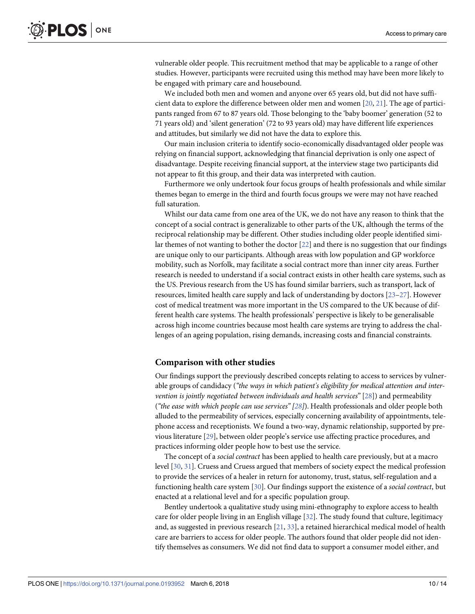<span id="page-9-0"></span>vulnerable older people. This recruitment method that may be applicable to a range of other studies. However, participants were recruited using this method may have been more likely to be engaged with primary care and housebound.

We included both men and women and anyone over 65 years old, but did not have sufficient data to explore the difference between older men and women [[20](#page-12-0), [21](#page-12-0)]. The age of participants ranged from 67 to 87 years old. Those belonging to the 'baby boomer' generation (52 to 71 years old) and 'silent generation' (72 to 93 years old) may have different life experiences and attitudes, but similarly we did not have the data to explore this.

Our main inclusion criteria to identify socio-economically disadvantaged older people was relying on financial support, acknowledging that financial deprivation is only one aspect of disadvantage. Despite receiving financial support, at the interview stage two participants did not appear to fit this group, and their data was interpreted with caution.

Furthermore we only undertook four focus groups of health professionals and while similar themes began to emerge in the third and fourth focus groups we were may not have reached full saturation.

Whilst our data came from one area of the UK, we do not have any reason to think that the concept of a social contract is generalizable to other parts of the UK, although the terms of the reciprocal relationship may be different. Other studies including older people identified similar themes of not wanting to bother the doctor [[22](#page-13-0)] and there is no suggestion that our findings are unique only to our participants. Although areas with low population and GP workforce mobility, such as Norfolk, may facilitate a social contract more than inner city areas. Further research is needed to understand if a social contract exists in other health care systems, such as the US. Previous research from the US has found similar barriers, such as transport, lack of resources, limited health care supply and lack of understanding by doctors [\[23–27\]](#page-13-0). However cost of medical treatment was more important in the US compared to the UK because of different health care systems. The health professionals' perspective is likely to be generalisable across high income countries because most health care systems are trying to address the challenges of an ageing population, rising demands, increasing costs and financial constraints.

### **Comparison with other studies**

Our findings support the previously described concepts relating to access to services by vulnerable groups of candidacy (*"the ways in which patient's eligibility for medical attention and intervention is jointly negotiated between individuals and health services*"[\[28\]](#page-13-0)) and permeability (*"the ease with which people can use services" [[28](#page-13-0)]*). Health professionals and older people both alluded to the permeability of services, especially concerning availability of appointments, telephone access and receptionists. We found a two-way, dynamic relationship, supported by previous literature [[29](#page-13-0)], between older people's service use affecting practice procedures, and practices informing older people how to best use the service.

The concept of a *social contract* has been applied to health care previously, but at a macro level [[30](#page-13-0), [31\]](#page-13-0). Cruess and Cruess argued that members of society expect the medical profession to provide the services of a healer in return for autonomy, trust, status, self-regulation and a functioning health care system [\[30\]](#page-13-0). Our findings support the existence of a *social contract*, but enacted at a relational level and for a specific population group.

Bentley undertook a qualitative study using mini-ethnography to explore access to health care for older people living in an English village [\[32\]](#page-13-0). The study found that culture, legitimacy and, as suggested in previous research [\[21,](#page-12-0) [33\]](#page-13-0), a retained hierarchical medical model of health care are barriers to access for older people. The authors found that older people did not identify themselves as consumers. We did not find data to support a consumer model either, and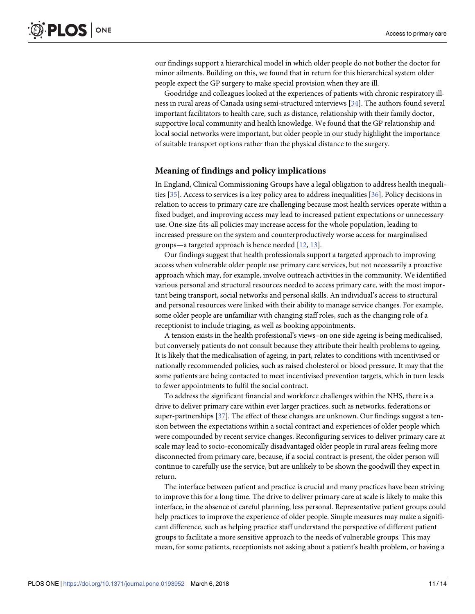<span id="page-10-0"></span>our findings support a hierarchical model in which older people do not bother the doctor for minor ailments. Building on this, we found that in return for this hierarchical system older people expect the GP surgery to make special provision when they are ill.

Goodridge and colleagues looked at the experiences of patients with chronic respiratory illness in rural areas of Canada using semi-structured interviews [[34](#page-13-0)]. The authors found several important facilitators to health care, such as distance, relationship with their family doctor, supportive local community and health knowledge. We found that the GP relationship and local social networks were important, but older people in our study highlight the importance of suitable transport options rather than the physical distance to the surgery.

# **Meaning of findings and policy implications**

In England, Clinical Commissioning Groups have a legal obligation to address health inequalities [\[35\]](#page-13-0). Access to services is a key policy area to address inequalities [[36](#page-13-0)]. Policy decisions in relation to access to primary care are challenging because most health services operate within a fixed budget, and improving access may lead to increased patient expectations or unnecessary use. One-size-fits-all policies may increase access for the whole population, leading to increased pressure on the system and counterproductively worse access for marginalised groups—a targeted approach is hence needed [[12](#page-12-0), [13](#page-12-0)].

Our findings suggest that health professionals support a targeted approach to improving access when vulnerable older people use primary care services, but not necessarily a proactive approach which may, for example, involve outreach activities in the community. We identified various personal and structural resources needed to access primary care, with the most important being transport, social networks and personal skills. An individual's access to structural and personal resources were linked with their ability to manage service changes. For example, some older people are unfamiliar with changing staff roles, such as the changing role of a receptionist to include triaging, as well as booking appointments.

A tension exists in the health professional's views–on one side ageing is being medicalised, but conversely patients do not consult because they attribute their health problems to ageing. It is likely that the medicalisation of ageing, in part, relates to conditions with incentivised or nationally recommended policies, such as raised cholesterol or blood pressure. It may that the some patients are being contacted to meet incentivised prevention targets, which in turn leads to fewer appointments to fulfil the social contract.

To address the significant financial and workforce challenges within the NHS, there is a drive to deliver primary care within ever larger practices, such as networks, federations or super-partnerships [\[37\]](#page-13-0). The effect of these changes are unknown. Our findings suggest a tension between the expectations within a social contract and experiences of older people which were compounded by recent service changes. Reconfiguring services to deliver primary care at scale may lead to socio-economically disadvantaged older people in rural areas feeling more disconnected from primary care, because, if a social contract is present, the older person will continue to carefully use the service, but are unlikely to be shown the goodwill they expect in return.

The interface between patient and practice is crucial and many practices have been striving to improve this for a long time. The drive to deliver primary care at scale is likely to make this interface, in the absence of careful planning, less personal. Representative patient groups could help practices to improve the experience of older people. Simple measures may make a significant difference, such as helping practice staff understand the perspective of different patient groups to facilitate a more sensitive approach to the needs of vulnerable groups. This may mean, for some patients, receptionists not asking about a patient's health problem, or having a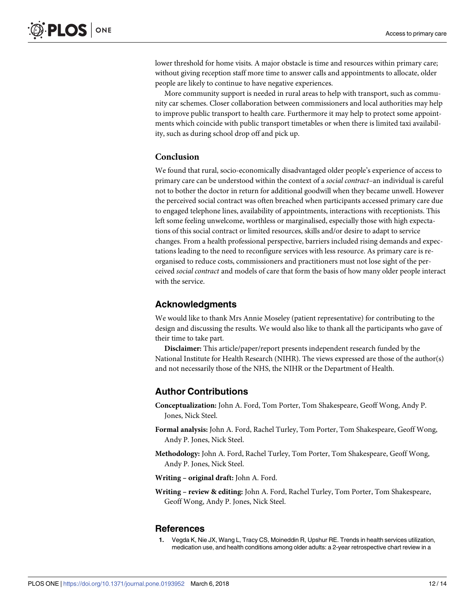<span id="page-11-0"></span>lower threshold for home visits. A major obstacle is time and resources within primary care; without giving reception staff more time to answer calls and appointments to allocate, older people are likely to continue to have negative experiences.

More community support is needed in rural areas to help with transport, such as community car schemes. Closer collaboration between commissioners and local authorities may help to improve public transport to health care. Furthermore it may help to protect some appointments which coincide with public transport timetables or when there is limited taxi availability, such as during school drop off and pick up.

### **Conclusion**

We found that rural, socio-economically disadvantaged older people's experience of access to primary care can be understood within the context of a *social contract*–an individual is careful not to bother the doctor in return for additional goodwill when they became unwell. However the perceived social contract was often breached when participants accessed primary care due to engaged telephone lines, availability of appointments, interactions with receptionists. This left some feeling unwelcome, worthless or marginalised, especially those with high expectations of this social contract or limited resources, skills and/or desire to adapt to service changes. From a health professional perspective, barriers included rising demands and expectations leading to the need to reconfigure services with less resource. As primary care is reorganised to reduce costs, commissioners and practitioners must not lose sight of the perceived *social contract* and models of care that form the basis of how many older people interact with the service.

# **Acknowledgments**

We would like to thank Mrs Annie Moseley (patient representative) for contributing to the design and discussing the results. We would also like to thank all the participants who gave of their time to take part.

**Disclaimer:** This article/paper/report presents independent research funded by the National Institute for Health Research (NIHR). The views expressed are those of the author(s) and not necessarily those of the NHS, the NIHR or the Department of Health.

# **Author Contributions**

- **Conceptualization:** John A. Ford, Tom Porter, Tom Shakespeare, Geoff Wong, Andy P. Jones, Nick Steel.
- **Formal analysis:** John A. Ford, Rachel Turley, Tom Porter, Tom Shakespeare, Geoff Wong, Andy P. Jones, Nick Steel.
- **Methodology:** John A. Ford, Rachel Turley, Tom Porter, Tom Shakespeare, Geoff Wong, Andy P. Jones, Nick Steel.
- **Writing – original draft:** John A. Ford.
- **Writing – review & editing:** John A. Ford, Rachel Turley, Tom Porter, Tom Shakespeare, Geoff Wong, Andy P. Jones, Nick Steel.

### **References**

**[1](#page-1-0).** Vegda K, Nie JX, Wang L, Tracy CS, Moineddin R, Upshur RE. Trends in health services utilization, medication use, and health conditions among older adults: a 2-year retrospective chart review in a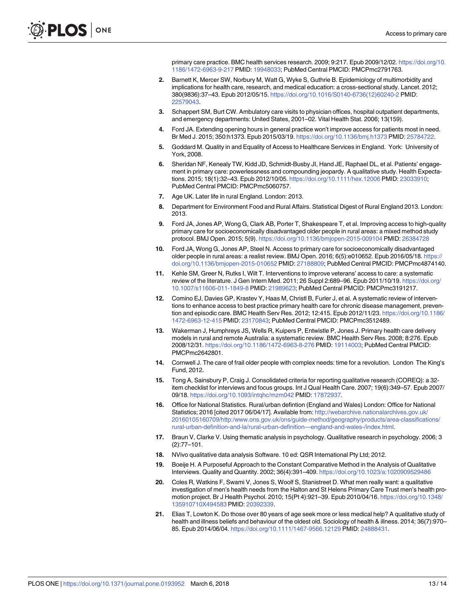primary care practice. BMC health services research. 2009; 9:217. Epub 2009/12/02. [https://doi.org/10.](https://doi.org/10.1186/1472-6963-9-217) [1186/1472-6963-9-217](https://doi.org/10.1186/1472-6963-9-217) PMID: [19948033;](http://www.ncbi.nlm.nih.gov/pubmed/19948033) PubMed Central PMCID: PMCPmc2791763.

- <span id="page-12-0"></span>**2.** Barnett K, Mercer SW, Norbury M, Watt G, Wyke S, Guthrie B. Epidemiology of multimorbidity and implications for health care, research, and medical education: a cross-sectional study. Lancet. 2012; 380(9836):37–43. Epub 2012/05/15. [https://doi.org/10.1016/S0140-6736\(12\)60240-2](https://doi.org/10.1016/S0140-6736(12)60240-2) PMID: [22579043](http://www.ncbi.nlm.nih.gov/pubmed/22579043).
- **[3](#page-1-0).** Schappert SM, Burt CW. Ambulatory care visits to physician offices, hospital outpatient departments, and emergency departments: United States, 2001–02. Vital Health Stat. 2006; 13(159).
- **[4](#page-1-0).** Ford JA. Extending opening hours in general practice won't improve access for patients most in need. Br Med J. 2015; 350:h1373. Epub 2015/03/19. <https://doi.org/10.1136/bmj.h1373> PMID: [25784722.](http://www.ncbi.nlm.nih.gov/pubmed/25784722)
- **[5](#page-1-0).** Goddard M. Quality in and Equality of Access to Healthcare Services in England. York: University of York, 2008.
- **[6](#page-1-0).** Sheridan NF, Kenealy TW, Kidd JD, Schmidt-Busby JI, Hand JE, Raphael DL, et al. Patients' engagement in primary care: powerlessness and compounding jeopardy. A qualitative study. Health Expectations. 2015; 18(1):32–43. Epub 2012/10/05. <https://doi.org/10.1111/hex.12006> PMID: [23033910;](http://www.ncbi.nlm.nih.gov/pubmed/23033910) PubMed Central PMCID: PMCPmc5060757.
- **[7](#page-1-0).** Age UK. Later life in rural England. London: 2013.
- **[8](#page-1-0).** Department for Environment Food and Rural Affairs. Statistical Digest of Rural England 2013. London: 2013.
- **[9](#page-1-0).** Ford JA, Jones AP, Wong G, Clark AB, Porter T, Shakespeare T, et al. Improving access to high-quality primary care for socioeconomically disadvantaged older people in rural areas: a mixed method study protocol. BMJ Open. 2015; 5(9). <https://doi.org/10.1136/bmjopen-2015-009104> PMID: [26384728](http://www.ncbi.nlm.nih.gov/pubmed/26384728)
- **[10](#page-1-0).** Ford JA, Wong G, Jones AP, Steel N. Access to primary care for socioeconomically disadvantaged older people in rural areas: a realist review. BMJ Open. 2016; 6(5):e010652. Epub 2016/05/18. [https://](https://doi.org/10.1136/bmjopen-2015-010652) [doi.org/10.1136/bmjopen-2015-010652](https://doi.org/10.1136/bmjopen-2015-010652) PMID: [27188809;](http://www.ncbi.nlm.nih.gov/pubmed/27188809) PubMed Central PMCID: PMCPmc4874140.
- **[11](#page-1-0).** Kehle SM, Greer N, Rutks I, Wilt T. Interventions to improve veterans' access to care: a systematic review of the literature. J Gen Intern Med. 2011; 26 Suppl 2:689–96. Epub 2011/10/19. [https://doi.org/](https://doi.org/10.1007/s11606-011-1849-8) [10.1007/s11606-011-1849-8](https://doi.org/10.1007/s11606-011-1849-8) PMID: [21989623;](http://www.ncbi.nlm.nih.gov/pubmed/21989623) PubMed Central PMCID: PMCPmc3191217.
- **[12](#page-1-0).** Comino EJ, Davies GP, Krastev Y, Haas M, Christl B, Furler J, et al. A systematic review of interventions to enhance access to best practice primary health care for chronic disease management, prevention and episodic care. BMC Health Serv Res. 2012; 12:415. Epub 2012/11/23. [https://doi.org/10.1186/](https://doi.org/10.1186/1472-6963-12-415) [1472-6963-12-415](https://doi.org/10.1186/1472-6963-12-415) PMID: [23170843](http://www.ncbi.nlm.nih.gov/pubmed/23170843); PubMed Central PMCID: PMCPmc3512489.
- **[13](#page-1-0).** Wakerman J, Humphreys JS, Wells R, Kuipers P, Entwistle P, Jones J. Primary health care delivery models in rural and remote Australia: a systematic review. BMC Health Serv Res. 2008; 8:276. Epub 2008/12/31. <https://doi.org/10.1186/1472-6963-8-276> PMID: [19114003;](http://www.ncbi.nlm.nih.gov/pubmed/19114003) PubMed Central PMCID: PMCPmc2642801.
- **[14](#page-1-0).** Cornwell J. The care of frail older people with complex needs: time for a revolution. London The King's Fund, 2012.
- **[15](#page-1-0).** Tong A, Sainsbury P, Craig J. Consolidated criteria for reporting qualitative research (COREQ): a 32 item checklist for interviews and focus groups. Int J Qual Health Care. 2007; 19(6):349–57. Epub 2007/ 09/18. <https://doi.org/10.1093/intqhc/mzm042> PMID: [17872937](http://www.ncbi.nlm.nih.gov/pubmed/17872937).
- **[16](#page-2-0).** Office for National Statistics. Rural/urban defintion (England and Wales) London: Office for National Statistics; 2016 [cited 2017 06/04/17]. Available from: [http://webarchive.nationalarchives.gov.uk/](http://webarchive.nationalarchives.gov.uk/20160105160709/http:/www.ons.gov.uk/ons/guide-method/geography/products/area-classifications/rural-urban-definition-and-la/rural-urban-definitionengland-and-wales-/index.html) [20160105160709/http:/www.ons.gov.uk/ons/guide-method/geography/products/area-classifications/](http://webarchive.nationalarchives.gov.uk/20160105160709/http:/www.ons.gov.uk/ons/guide-method/geography/products/area-classifications/rural-urban-definition-and-la/rural-urban-definitionengland-and-wales-/index.html) [rural-urban-definition-and-la/rural-urban-definition—england-and-wales-/index.html.](http://webarchive.nationalarchives.gov.uk/20160105160709/http:/www.ons.gov.uk/ons/guide-method/geography/products/area-classifications/rural-urban-definition-and-la/rural-urban-definitionengland-and-wales-/index.html)
- **[17](#page-3-0).** Braun V, Clarke V. Using thematic analysis in psychology. Qualitative research in psychology. 2006; 3 (2):77–101.
- **[18](#page-3-0).** NVivo qualitative data analysis Software. 10 ed: QSR International Pty Ltd; 2012.
- **[19](#page-3-0).** Boeije H. A Purposeful Approach to the Constant Comparative Method in the Analysis of Qualitative Interviews. Quality and Quantity. 2002; 36(4):391–409. <https://doi.org/10.1023/a:1020909529486>
- **[20](#page-9-0).** Coles R, Watkins F, Swami V, Jones S, Woolf S, Stanistreet D. What men really want: a qualitative investigation of men's health needs from the Halton and St Helens Primary Care Trust men's health promotion project. Br J Health Psychol. 2010; 15(Pt 4):921–39. Epub 2010/04/16. [https://doi.org/10.1348/](https://doi.org/10.1348/135910710X494583) [135910710X494583](https://doi.org/10.1348/135910710X494583) PMID: [20392339.](http://www.ncbi.nlm.nih.gov/pubmed/20392339)
- **[21](#page-9-0).** Elias T, Lowton K. Do those over 80 years of age seek more or less medical help? A qualitative study of health and illness beliefs and behaviour of the oldest old. Sociology of health & illness. 2014; 36(7):970– 85. Epub 2014/06/04. <https://doi.org/10.1111/1467-9566.12129> PMID: [24888431](http://www.ncbi.nlm.nih.gov/pubmed/24888431).